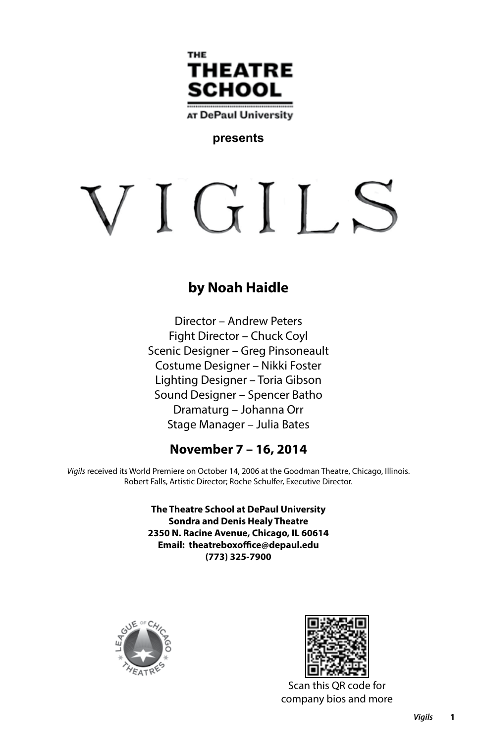

AT DePaul University

# **presents**

# VIGILS

# **by Noah Haidle**

Director – Andrew Peters Fight Director – Chuck Coyl Scenic Designer – Greg Pinsoneault Costume Designer – Nikki Foster Lighting Designer – Toria Gibson Sound Designer – Spencer Batho Dramaturg – Johanna Orr Stage Manager – Julia Bates

# **November 7 – 16, 2014**

*Vigils* received its World Premiere on October 14, 2006 at the Goodman Theatre, Chicago, Illinois. Robert Falls, Artistic Director; Roche Schulfer, Executive Director.

> **The Theatre School at DePaul University Sondra and Denis Healy Theatre 2350 N. Racine Avenue, Chicago, IL 60614 Email: theatreboxoffice@depaul.edu (773) 325-7900**





Scan this QR code for company bios and more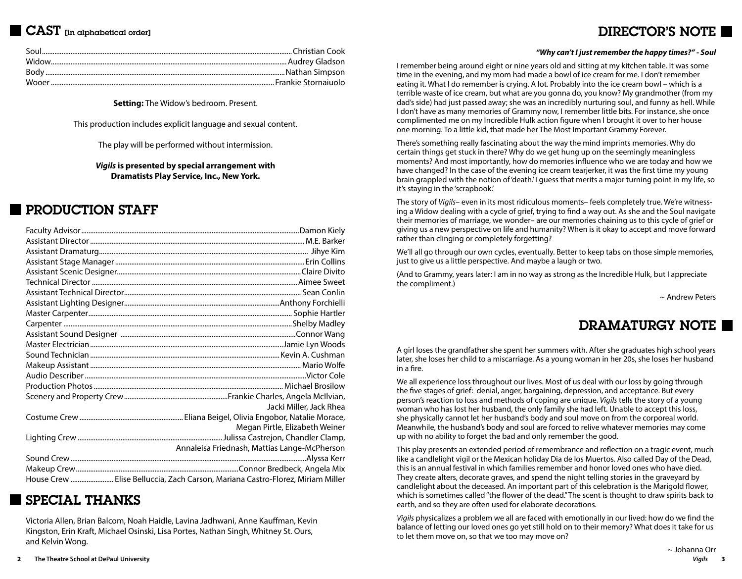# CAST [in alphabetical order]

# DIRECTOR'S NOTE

**Setting:** The Widow's bedroom. Present.

This production includes explicit language and sexual content.

The play will be performed without intermission.

*Vigils* **is presented by special arrangement with Dramatists Play Service, Inc., New York.**

# PRODUCTION STAFF

| Jacki Miller, Jack Rhea                                                        |
|--------------------------------------------------------------------------------|
|                                                                                |
| Megan Pirtle, Elizabeth Weiner                                                 |
|                                                                                |
| Annaleisa Friednash, Mattias Lange-McPherson                                   |
|                                                                                |
|                                                                                |
| House Crew  Elise Belluccia, Zach Carson, Mariana Castro-Florez, Miriam Miller |

# SPECIAL THANKS

Victoria Allen, Brian Balcom, Noah Haidle, Lavina Jadhwani, Anne Kauffman, Kevin Kingston, Erin Kraft, Michael Osinski, Lisa Portes, Nathan Singh, Whitney St. Ours, and Kelvin Wong.

I remember being around eight or nine years old and sitting at my kitchen table. It was some time in the evening, and my mom had made a bowl of ice cream for me. I don't remember eating it. What I do remember is crying. A lot. Probably into the ice cream bowl – which is a terrible waste of ice cream, but what are you gonna do, you know? My grandmother (from my dad's side) had just passed away; she was an incredibly nurturing soul, and funny as hell. While I don't have as many memories of Grammy now, I remember little bits. For instance, she once complimented me on my Incredible Hulk action figure when I brought it over to her house one morning. To a little kid, that made her The Most Important Grammy Forever.

There's something really fascinating about the way the mind imprints memories. Why do certain things get stuck in there? Why do we get hung up on the seemingly meaningless moments? And most importantly, how do memories influence who we are today and how we have changed? In the case of the evening ice cream tearjerker, it was the first time my young brain grappled with the notion of 'death.' I guess that merits a major turning point in my life, so it's staying in the 'scrapbook.'

The story of *Vigils*– even in its most ridiculous moments– feels completely true. We're witnessing a Widow dealing with a cycle of grief, trying to find a way out. As she and the Soul navigate their memories of marriage, we wonder– are our memories chaining us to this cycle of grief or giving us a new perspective on life and humanity? When is it okay to accept and move forward rather than clinging or completely forgetting?

We'll all go through our own cycles, eventually. Better to keep tabs on those simple memories, just to give us a little perspective. And maybe a laugh or two.

(And to Grammy, years later: I am in no way as strong as the Incredible Hulk, but I appreciate the compliment.)

~ Andrew Peters

# DRAMATURGY NOTE

A girl loses the grandfather she spent her summers with. After she graduates high school years later, she loses her child to a miscarriage. As a young woman in her 20s, she loses her husband in a fire.

We all experience loss throughout our lives. Most of us deal with our loss by going through the five stages of grief: denial, anger, bargaining, depression, and acceptance. But every person's reaction to loss and methods of coping are unique. *Vigils* tells the story of a young woman who has lost her husband, the only family she had left. Unable to accept this loss, she physically cannot let her husband's body and soul move on from the corporeal world. Meanwhile, the husband's body and soul are forced to relive whatever memories may come up with no ability to forget the bad and only remember the good.

This play presents an extended period of remembrance and reflection on a tragic event, much like a candlelight vigil or the Mexican holiday Dia de los Muertos. Also called Day of the Dead, this is an annual festival in which families remember and honor loved ones who have died. They create alters, decorate graves, and spend the night telling stories in the graveyard by candlelight about the deceased. An important part of this celebration is the Marigold flower, which is sometimes called "the flower of the dead." The scent is thought to draw spirits back to earth, and so they are often used for elaborate decorations.

*Vigils* physicalizes a problem we all are faced with emotionally in our lived: how do we find the balance of letting our loved ones go yet still hold on to their memory? What does it take for us to let them move on, so that we too may move on?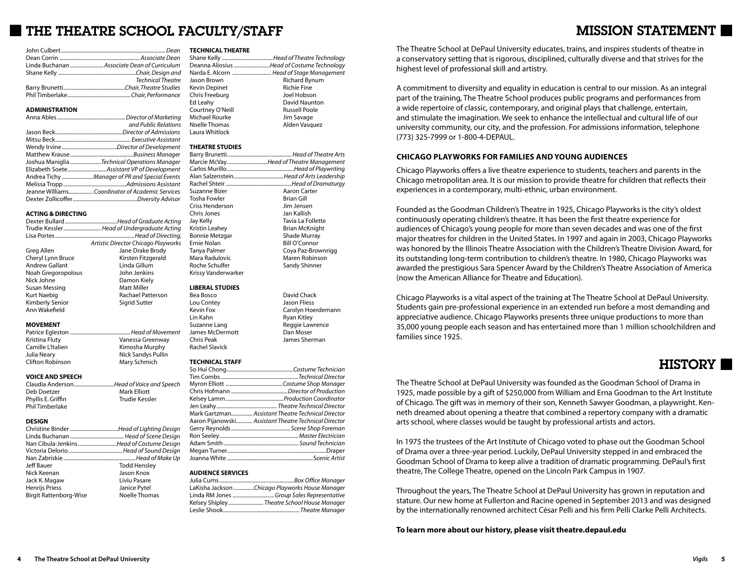# THE THEATRE SCHOOL FACULTY/STAFF

| <b>Technical Theatre</b> |
|--------------------------|
|                          |
|                          |

#### **ADMINISTRATION**

| and Public Relations                         |
|----------------------------------------------|
|                                              |
|                                              |
|                                              |
|                                              |
| Joshua Maniglia Technical Operations Manager |
|                                              |
|                                              |
|                                              |
|                                              |
|                                              |

#### **ACTING & DIRECTING**

|                       | Trudie Kessler Head of Undergraduate Acting |
|-----------------------|---------------------------------------------|
|                       |                                             |
|                       | Artistic Director Chicago Playworks         |
| Greg Allen            | Jane Drake Brody                            |
| Cheryl Lynn Bruce     | Kirsten Fitzgerald                          |
| <b>Andrew Gallant</b> | Linda Gillum                                |
| Noah Gregoropolous    | John Jenkins                                |
| Nick Johne            | Damon Kiely                                 |
| Susan Messing         | Matt Miller                                 |
| <b>Kurt Naebig</b>    | Rachael Patterson                           |
| Kimberly Senior       | Sigrid Sutter                               |
| Ann Wakefield         |                                             |
| <b>MOVEMENT</b>       |                                             |
|                       |                                             |
|                       |                                             |
| Kristina Fluty        | Vanessa Greenway                            |

Camille L'Italien Kimosha Murphy Julia Neary **Nick Sandys Pullin** Clifton Robinson Mary Schmich

# **VOICE AND SPEECH**

Claudia Anderson..............................*Head of Voice and Speech* Deb Doetzer **Mark Elliott**<br>Phyllis E. Griffin Mark Elliott Trudie Kesslei Phyllis E. Griffin Phil Timberlake

#### **DESIGN**

|                               | Nan Cibula-Jenkins Head of Costume Design |
|-------------------------------|-------------------------------------------|
|                               |                                           |
|                               |                                           |
| Jeff Bauer                    | <b>Todd Hensley</b>                       |
| Nick Keenan                   | Jason Knox                                |
| Jack K. Magaw                 | Liviu Pasare                              |
| <b>Henrijs Priess</b>         | Janice Pytel                              |
| <b>Birgit Rattenborg-Wise</b> | Noelle Thomas                             |

#### **TECHNICAL THEATRE**

|                      | Deanna Aliosius Head of Costume Technology |
|----------------------|--------------------------------------------|
|                      | Narda E. Alcorn  Head of Stage Management  |
| Jason Brown          | <b>Richard Bynum</b>                       |
| <b>Kevin Depinet</b> | <b>Richie Fine</b>                         |
| Chris Freeburg       | Joel Hobson                                |
| Ed Leahy             | David Naunton                              |
| Courtney O'Neill     | <b>Russell Poole</b>                       |
| Michael Rourke       | Jim Savage                                 |
| Noelle Thomas        | Alden Vasquez                              |

# Laura Whitlock **THEATRE STUDIES**

|                        | Marcie McVayHead of Theatre Management  |
|------------------------|-----------------------------------------|
|                        |                                         |
|                        | Alan SalzensteinHead of Arts Leadership |
|                        |                                         |
| Suzanne Bizer          | Aaron Carter                            |
| Tosha Fowler           | <b>Brian Gill</b>                       |
| Criss Henderson        | Jim Jensen                              |
| Chris Jones            | Jan Kallish                             |
| Jay Kelly              | Tavia La Follette                       |
| Kristin Leahey         | Brian McKnight                          |
| <b>Bonnie Metzgar</b>  | Shade Murray                            |
| Ernie Nolan            | Bill O'Connor                           |
| Tanya Palmer           | Coya Paz-Brownrigg                      |
| Mara Radulovic         | Maren Robinson                          |
| Roche Schulfer         | Sandy Shinner                           |
| Krissy Vanderwarker    |                                         |
| <b>LIBERAL STUDIES</b> |                                         |
| Den Desse              | David Chaele                            |

Bea Bosco David Chack **Jason Fliess** Kevin Fox Carolyn Hoerdemann Lin Kahn Naman Kahn Ryan Kitley<br>Suzanne Lang Naman Reggie Law Reggie Lawrence<br>Dan Moser Chris Peak James Sherman

#### **TECHNICAL STAFF**

James McDermott

Rachel Slavick

| Mark Gartzman Assistant Theatre Technical Director    |
|-------------------------------------------------------|
| Aaron Pijanowski Assistant Theatre Technical Director |
|                                                       |
|                                                       |
|                                                       |
|                                                       |
|                                                       |

#### **AUDIENCE SERVICES**

| LaKisha Jackson Chicago Playworks House Manager |
|-------------------------------------------------|
|                                                 |
| Kelsey ShipleyTheatre School House Manager      |
|                                                 |
|                                                 |

The Theatre School at DePaul University educates, trains, and inspires students of theatre in a conservatory setting that is rigorous, disciplined, culturally diverse and that strives for the highest level of professional skill and artistry.

A commitment to diversity and equality in education is central to our mission. As an integral part of the training, The Theatre School produces public programs and performances from a wide repertoire of classic, contemporary, and original plays that challenge, entertain, and stimulate the imagination. We seek to enhance the intellectual and cultural life of our university community, our city, and the profession. For admissions information, telephone (773) 325-7999 or 1-800-4-DEPAUL.

# **CHICAGO PLAYWORKS FOR FAMILIES AND YOUNG AUDIENCES**

Chicago Playworks offers a live theatre experience to students, teachers and parents in the Chicago metropolitan area. It is our mission to provide theatre for children that reflects their experiences in a contemporary, multi-ethnic, urban environment.

Founded as the Goodman Children's Theatre in 1925, Chicago Playworks is the city's oldest continuously operating children's theatre. It has been the first theatre experience for audiences of Chicago's young people for more than seven decades and was one of the first major theatres for children in the United States. In 1997 and again in 2003, Chicago Playworks was honored by the Illinois Theatre Association with the Children's Theatre Division Award, for its outstanding long-term contribution to children's theatre. In 1980, Chicago Playworks was awarded the prestigious Sara Spencer Award by the Children's Theatre Association of America (now the American Alliance for Theatre and Education).

Chicago Playworks is a vital aspect of the training at The Theatre School at DePaul University. Students gain pre-professional experience in an extended run before a most demanding and appreciative audience. Chicago Playworks presents three unique productions to more than 35,000 young people each season and has entertained more than 1 million schoolchildren and families since 1925.

# HISTORY

The Theatre School at DePaul University was founded as the Goodman School of Drama in 1925, made possible by a gift of \$250,000 from William and Erna Goodman to the Art Institute of Chicago. The gift was in memory of their son, Kenneth Sawyer Goodman, a playwright. Kenneth dreamed about opening a theatre that combined a repertory company with a dramatic arts school, where classes would be taught by professional artists and actors.

In 1975 the trustees of the Art Institute of Chicago voted to phase out the Goodman School of Drama over a three-year period. Luckily, DePaul University stepped in and embraced the Goodman School of Drama to keep alive a tradition of dramatic programming. DePaul's first theatre, The College Theatre, opened on the Lincoln Park Campus in 1907.

Throughout the years, The Theatre School at DePaul University has grown in reputation and stature. Our new home at Fullerton and Racine opened in September 2013 and was designed by the internationally renowned architect César Pelli and his firm Pelli Clarke Pelli Architects.

**To learn more about our history, please visit theatre.depaul.edu**

# MISSION STATEMENT I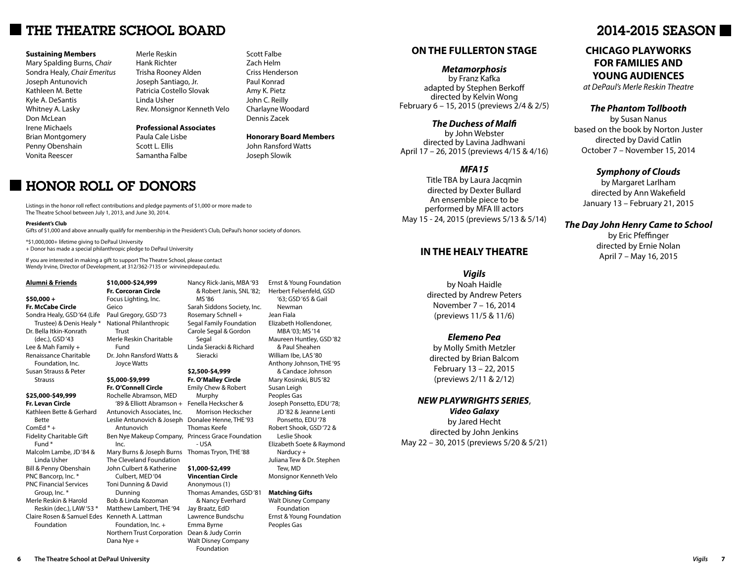# THE THEATRE SCHOOL BOARD

#### **Sustaining Members**

Mary Spalding Burns, *Chair* Sondra Healy, *Chair Emeritus* Joseph Antunovich Kathleen M. Bette Kyle A. DeSantis Whitney A. Lasky Don McLean Irene Michaels Brian Montgomery Penny Obenshain Vonita Reescer

Merle Reskin Hank Richter Trisha Rooney Alden Joseph Santiago, Jr. Patricia Costello Slovak Linda Usher Rev. Monsignor Kenneth Velo

## **Professional Associates**

Paula Cale Lisbe Scott L. Ellis Samantha Falbe

# Scott Falbe Zach Helm Criss Henderson Paul Konrad Amy K. Pietz John C. Reilly Charlayne Woodard Dennis Zacek

**Honorary Board Members** John Ransford Watts Joseph Slowik

MS '86

Sieracki **\$2,500-\$4,999 Fr. O'Malley Circle**

Rosemary Schnell +

Carole Segal & Gordon Segal

# **HONOR ROLL OF DONORS**

Listings in the honor roll reflect contributions and pledge payments of \$1,000 or more made to The Theatre School between July 1, 2013, and June 30, 2014.

#### **President's Club**

Gifts of \$1,000 and above annually qualify for membership in the President's Club, DePaul's honor society of donors.

\*\$1,000,000+ lifetime giving to DePaul University

+ Donor has made a special philanthropic pledge to DePaul University

If you are interested in making a gift to support The Theatre School, please contact Wendy Irvine, Director of Development, at 312/362-7135 or wirvine@depaul.edu.

#### **Alumni & Friends**

#### **\$50,000 +**

**Fr. McCabe Circle** Sondra Healy, GSD '64 (Life Trustee) & Denis Healy \* Dr. Bella Itkin-Konrath (dec.), GSD '43 Lee & Mah Family + Renaissance Charitable Foundation, Inc. Susan Strauss & Peter

Strauss

#### **\$25,000-\$49,999 Fr. Levan Circle**

Kathleen Bette & Gerhard Bette ComEd \* + Fidelity Charitable Gift Fund \* Malcolm Lambe, JD '84 & Linda Usher Bill & Penny Obenshain PNC Bancorp, Inc. \* PNC Financial Services Group, Inc. \* Merle Reskin & Harold Reskin (dec.), LAW '53 \* Claire Rosen & Samuel Edes Kenneth A. Lattman Foundation

**\$10,000-\$24,999 Fr. Corcoran Circle** Focus Lighting, Inc. Geico Paul Gregory, GSD '73 National Philanthropic Trust Merle Reskin Charitable Fund Dr. John Ransford Watts &

# Joyce Watts **\$5,000-\$9,999**

Dunning

Dana Nye +

**Fr. O'Connell Circle** Rochelle Abramson, MED '89 & Elliott Abramson + Fenella Heckscher & Antunovich Associates, Inc. Leslie Antunovich & Joseph Donalee Henne, THE '93 Antunovich Ben Nye Makeup Company, Princess Grace Foundation Inc. Mary Burns & Joseph Burns Thomas Tryon, THE '88 The Cleveland Foundation John Culbert & Katherine Emily Chew & Robert Murphy Morrison Heckscher Thomas Keefe - USA **\$1,000-\$2,499**

Culbert, MED '04 Toni Dunning & David Bob & Linda Kozoman Matthew Lambert, THE '94 Foundation, Inc. + Northern Trust Corporation **Vincentian Circle** Anonymous (1) Thomas Amandes, GSD '81 & Nancy Everhard Jay Braatz, EdD Lawrence Bundschu Emma Byrne Dean & Judy Corrin Walt Disney Company Foundation

Nancy Rick-Janis, MBA '93 & Robert Janis, SNL '82; Sarah Siddons Society, Inc. Segal Family Foundation Linda Sieracki & Richard Ernst & Young Foundation Herbert Felsenfeld, GSD '63; GSD '65 & Gail Newman Jean Fiala Elizabeth Hollendoner, MBA '03; MS '14 Maureen Huntley, GSD '82 & Paul Sheahen William Ibe, LAS '80 Anthony Johnson, THE '95 & Candace Johnson Mary Kosinski, BUS '82 Susan Leigh Peoples Gas Joseph Ponsetto, EDU '78; JD '82 & Jeanne Lenti Ponsetto, EDU '78 Robert Shook, GSD '72 & Leslie Shook Elizabeth Soete & Raymond Narducy + Juliana Tew & Dr. Stephen Tew, MD Monsignor Kenneth Velo

> **Matching Gifts** Walt Disney Company Foundation Ernst & Young Foundation Peoples Gas

# **ON THE FULLERTON STAGE**

*Metamorphosis* by Franz Kafka adapted by Stephen Berkoff directed by Kelvin Wong February 6 – 15, 2015 (previews 2/4 & 2/5)

# *The Duchess of Malfi*

by John Webster directed by Lavina Jadhwani April 17 – 26, 2015 (previews 4/15 & 4/16)

# *MFA15*

Title TBA by Laura Jacqmin directed by Dexter Bullard An ensemble piece to be performed by MFA III actors May 15 - 24, 2015 (previews 5/13 & 5/14)

# **IN THE HEALY THEATRE**

*Vigils* by Noah Haidle directed by Andrew Peters November 7 – 16, 2014 (previews 11/5 & 11/6)

# *Elemeno Pea*

by Molly Smith Metzler directed by Brian Balcom February 13 – 22, 2015 (previews 2/11 & 2/12)

# *NEW PLAYWRIGHTS SERIES*,

*Video Galaxy* by Jared Hecht directed by John Jenkins May 22 – 30, 2015 (previews 5/20 & 5/21)

# 2014-2015 SEASON

# **CHICAGO PLAYWORKS FOR FAMILIES AND YOUNG AUDIENCES**

*at DePaul's Merle Reskin Theatre*

# *The Phantom Tollbooth*

by Susan Nanus based on the book by Norton Juster directed by David Catlin October 7 – November 15, 2014

# *Symphony of Clouds*

by Margaret Larlham directed by Ann Wakefield January 13 – February 21, 2015

# *The Day John Henry Came to School*

by Eric Pfeffinger directed by Ernie Nolan April 7 – May 16, 2015